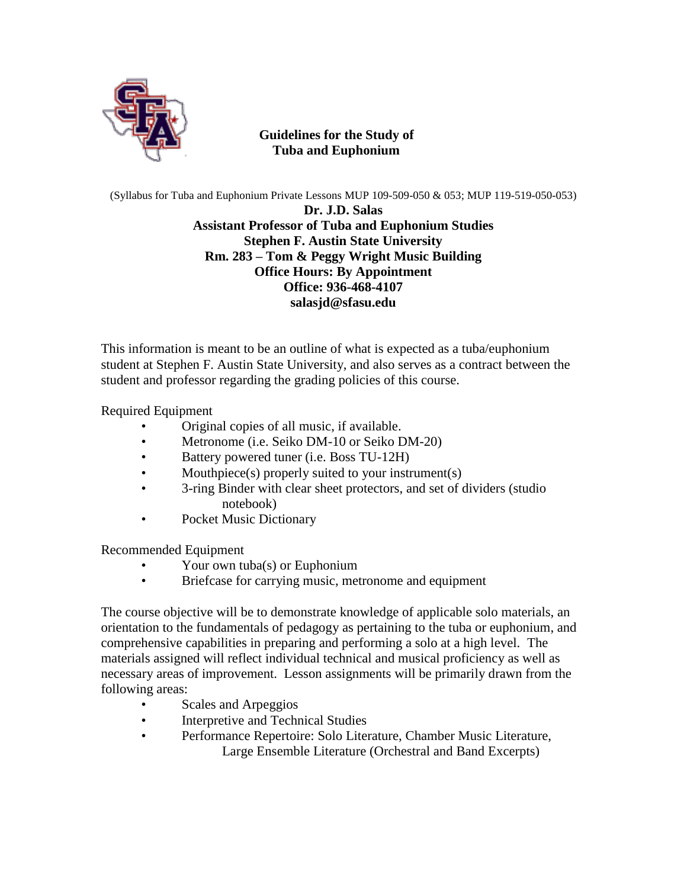

 **Guidelines for the Study of Tuba and Euphonium**

(Syllabus for Tuba and Euphonium Private Lessons MUP 109-509-050 & 053; MUP 119-519-050-053)

**Dr. J.D. Salas Assistant Professor of Tuba and Euphonium Studies Stephen F. Austin State University Rm. 283 – Tom & Peggy Wright Music Building Office Hours: By Appointment Office: 936-468-4107 salasjd@sfasu.edu**

This information is meant to be an outline of what is expected as a tuba/euphonium student at Stephen F. Austin State University, and also serves as a contract between the student and professor regarding the grading policies of this course.

Required Equipment

- Original copies of all music, if available.
- Metronome (i.e. Seiko DM-10 or Seiko DM-20)
- Battery powered tuner (i.e. Boss TU-12H)
- Mouthpiece(s) properly suited to your instrument(s)
- 3-ring Binder with clear sheet protectors, and set of dividers (studio notebook)
- Pocket Music Dictionary

Recommended Equipment

- Your own tuba(s) or Euphonium
- Briefcase for carrying music, metronome and equipment

The course objective will be to demonstrate knowledge of applicable solo materials, an orientation to the fundamentals of pedagogy as pertaining to the tuba or euphonium, and comprehensive capabilities in preparing and performing a solo at a high level. The materials assigned will reflect individual technical and musical proficiency as well as necessary areas of improvement. Lesson assignments will be primarily drawn from the following areas:

- Scales and Arpeggios
- Interpretive and Technical Studies
- Performance Repertoire: Solo Literature, Chamber Music Literature, Large Ensemble Literature (Orchestral and Band Excerpts)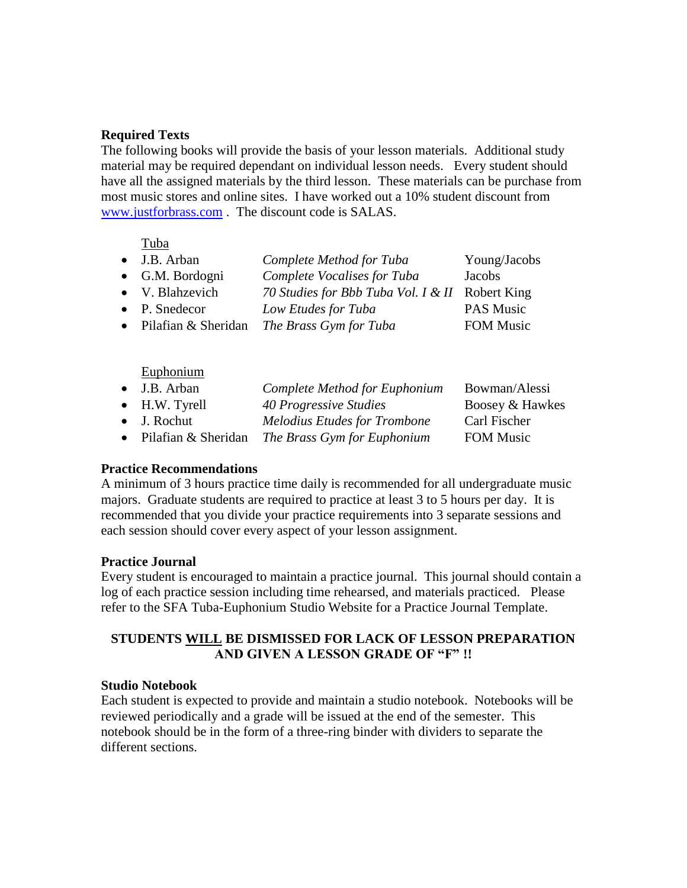## **Required Texts**

The following books will provide the basis of your lesson materials. Additional study material may be required dependant on individual lesson needs. Every student should have all the assigned materials by the third lesson. These materials can be purchase from most music stores and online sites. I have worked out a 10% student discount from [www.justforbrass.com](http://www.justforbrass.com/) . The discount code is SALAS.

Tuba

| $\bullet$ J.B. Arban          | Complete Method for Tuba                        | Young/Jacobs     |
|-------------------------------|-------------------------------------------------|------------------|
| • G.M. Bordogni               | Complete Vocalises for Tuba                     | Jacobs           |
| • V. Blahzevich               | 70 Studies for Bbb Tuba Vol. I & II Robert King |                  |
| $\bullet$ P. Snedecor         | Low Etudes for Tuba                             | PAS Music        |
| $\bullet$ Pilafian & Sheridan | The Brass Gym for Tuba                          | <b>FOM Music</b> |

Euphonium

| $\bullet$ J.B. Arban    | Complete Method for Euphonium       | Bowman/Alessi    |
|-------------------------|-------------------------------------|------------------|
| $\bullet$ H.W. Tyrell   | 40 Progressive Studies              | Boosey & Hawkes  |
| $\bullet$ J. Rochut     | <b>Melodius Etudes for Trombone</b> | Carl Fischer     |
| • Pilafian $&$ Sheridan | The Brass Gym for Euphonium         | <b>FOM Music</b> |
|                         |                                     |                  |

#### **Practice Recommendations**

A minimum of 3 hours practice time daily is recommended for all undergraduate music majors. Graduate students are required to practice at least 3 to 5 hours per day. It is recommended that you divide your practice requirements into 3 separate sessions and each session should cover every aspect of your lesson assignment.

# **Practice Journal**

Every student is encouraged to maintain a practice journal. This journal should contain a log of each practice session including time rehearsed, and materials practiced. Please refer to the SFA Tuba-Euphonium Studio Website for a Practice Journal Template.

# **STUDENTS WILL BE DISMISSED FOR LACK OF LESSON PREPARATION AND GIVEN A LESSON GRADE OF "F" !!**

#### **Studio Notebook**

Each student is expected to provide and maintain a studio notebook. Notebooks will be reviewed periodically and a grade will be issued at the end of the semester. This notebook should be in the form of a three-ring binder with dividers to separate the different sections.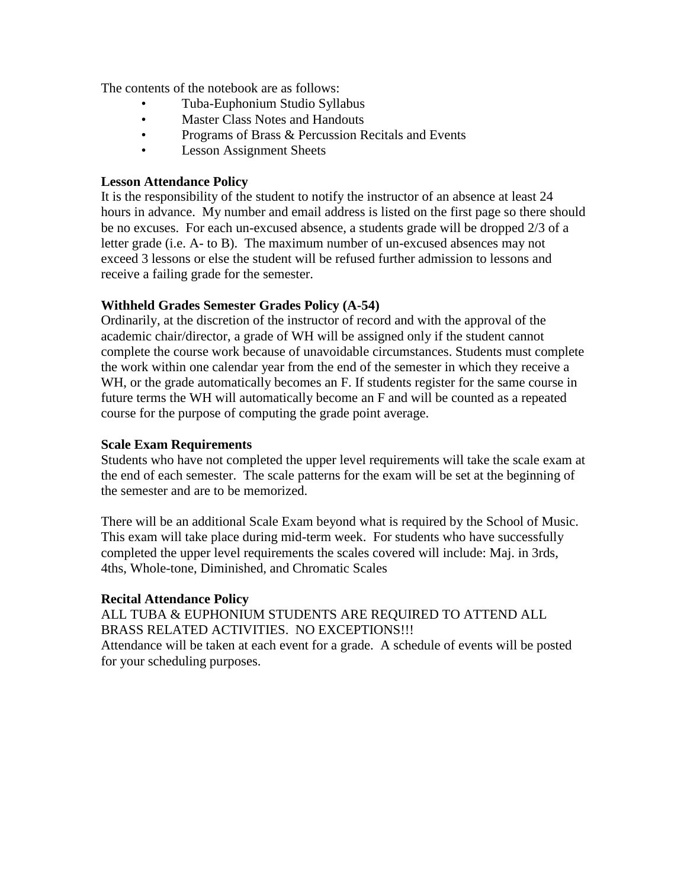The contents of the notebook are as follows:

- Tuba-Euphonium Studio Syllabus
- Master Class Notes and Handouts
- Programs of Brass & Percussion Recitals and Events
- Lesson Assignment Sheets

### **Lesson Attendance Policy**

It is the responsibility of the student to notify the instructor of an absence at least 24 hours in advance. My number and email address is listed on the first page so there should be no excuses. For each un-excused absence, a students grade will be dropped 2/3 of a letter grade (i.e. A- to B). The maximum number of un-excused absences may not exceed 3 lessons or else the student will be refused further admission to lessons and receive a failing grade for the semester.

## **Withheld Grades Semester Grades Policy (A-54)**

Ordinarily, at the discretion of the instructor of record and with the approval of the academic chair/director, a grade of WH will be assigned only if the student cannot complete the course work because of unavoidable circumstances. Students must complete the work within one calendar year from the end of the semester in which they receive a WH, or the grade automatically becomes an F. If students register for the same course in future terms the WH will automatically become an F and will be counted as a repeated course for the purpose of computing the grade point average.

#### **Scale Exam Requirements**

Students who have not completed the upper level requirements will take the scale exam at the end of each semester. The scale patterns for the exam will be set at the beginning of the semester and are to be memorized.

There will be an additional Scale Exam beyond what is required by the School of Music. This exam will take place during mid-term week. For students who have successfully completed the upper level requirements the scales covered will include: Maj. in 3rds, 4ths, Whole-tone, Diminished, and Chromatic Scales

#### **Recital Attendance Policy**

ALL TUBA & EUPHONIUM STUDENTS ARE REQUIRED TO ATTEND ALL BRASS RELATED ACTIVITIES. NO EXCEPTIONS!!!

Attendance will be taken at each event for a grade. A schedule of events will be posted for your scheduling purposes.